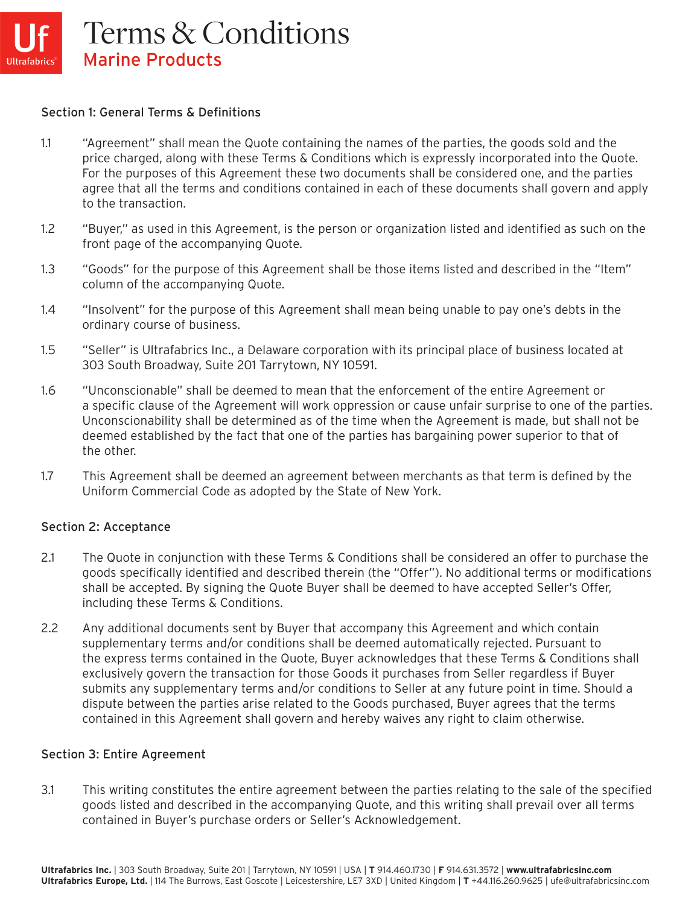#### Section 1: General Terms & Definitions

- 1.1 "Agreement" shall mean the Quote containing the names of the parties, the goods sold and the price charged, along with these Terms & Conditions which is expressly incorporated into the Quote. For the purposes of this Agreement these two documents shall be considered one, and the parties agree that all the terms and conditions contained in each of these documents shall govern and apply to the transaction.
- 1.2 "Buyer," as used in this Agreement, is the person or organization listed and identified as such on the front page of the accompanying Quote.
- 1.3 "Goods" for the purpose of this Agreement shall be those items listed and described in the "Item" column of the accompanying Quote.
- 1.4 "Insolvent" for the purpose of this Agreement shall mean being unable to pay one's debts in the ordinary course of business.
- 1.5 "Seller" is Ultrafabrics Inc., a Delaware corporation with its principal place of business located at 303 South Broadway, Suite 201 Tarrytown, NY 10591.
- 1.6 "Unconscionable" shall be deemed to mean that the enforcement of the entire Agreement or a specific clause of the Agreement will work oppression or cause unfair surprise to one of the parties. Unconscionability shall be determined as of the time when the Agreement is made, but shall not be deemed established by the fact that one of the parties has bargaining power superior to that of the other.
- 1.7 This Agreement shall be deemed an agreement between merchants as that term is defined by the Uniform Commercial Code as adopted by the State of New York.

#### Section 2: Acceptance

- 2.1 The Quote in conjunction with these Terms & Conditions shall be considered an offer to purchase the goods specifically identified and described therein (the "Offer"). No additional terms or modifications shall be accepted. By signing the Quote Buyer shall be deemed to have accepted Seller's Offer, including these Terms & Conditions.
- 2.2 Any additional documents sent by Buyer that accompany this Agreement and which contain supplementary terms and/or conditions shall be deemed automatically rejected. Pursuant to the express terms contained in the Quote, Buyer acknowledges that these Terms & Conditions shall exclusively govern the transaction for those Goods it purchases from Seller regardless if Buyer submits any supplementary terms and/or conditions to Seller at any future point in time. Should a dispute between the parties arise related to the Goods purchased, Buyer agrees that the terms contained in this Agreement shall govern and hereby waives any right to claim otherwise.

#### Section 3: Entire Agreement

3.1 This writing constitutes the entire agreement between the parties relating to the sale of the specified goods listed and described in the accompanying Quote, and this writing shall prevail over all terms contained in Buyer's purchase orders or Seller's Acknowledgement.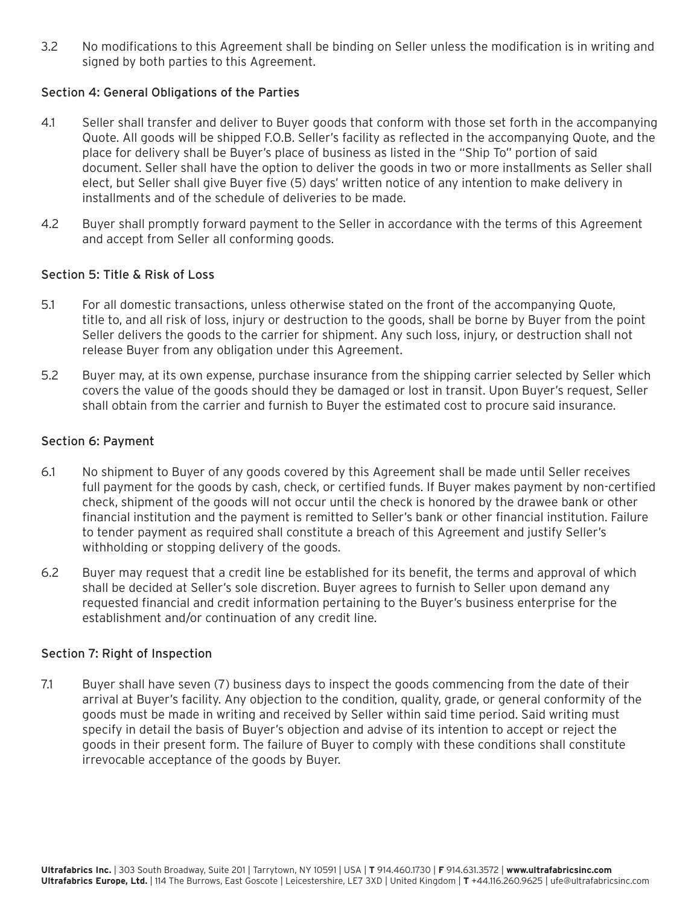3.2 No modifications to this Agreement shall be binding on Seller unless the modification is in writing and signed by both parties to this Agreement.

### Section 4: General Obligations of the Parties

- 4.1 Seller shall transfer and deliver to Buyer goods that conform with those set forth in the accompanying Quote. All goods will be shipped F.O.B. Seller's facility as reflected in the accompanying Quote, and the place for delivery shall be Buyer's place of business as listed in the "Ship To" portion of said document. Seller shall have the option to deliver the goods in two or more installments as Seller shall elect, but Seller shall give Buyer five (5) days' written notice of any intention to make delivery in installments and of the schedule of deliveries to be made.
- 4.2 Buyer shall promptly forward payment to the Seller in accordance with the terms of this Agreement and accept from Seller all conforming goods.

## Section 5: Title & Risk of Loss

- 5.1 For all domestic transactions, unless otherwise stated on the front of the accompanying Quote, title to, and all risk of loss, injury or destruction to the goods, shall be borne by Buyer from the point Seller delivers the goods to the carrier for shipment. Any such loss, injury, or destruction shall not release Buyer from any obligation under this Agreement.
- 5.2 Buyer may, at its own expense, purchase insurance from the shipping carrier selected by Seller which covers the value of the goods should they be damaged or lost in transit. Upon Buyer's request, Seller shall obtain from the carrier and furnish to Buyer the estimated cost to procure said insurance.

## Section 6: Payment

- 6.1 No shipment to Buyer of any goods covered by this Agreement shall be made until Seller receives full payment for the goods by cash, check, or certified funds. If Buyer makes payment by non-certified check, shipment of the goods will not occur until the check is honored by the drawee bank or other financial institution and the payment is remitted to Seller's bank or other financial institution. Failure to tender payment as required shall constitute a breach of this Agreement and justify Seller's withholding or stopping delivery of the goods.
- 6.2 Buyer may request that a credit line be established for its benefit, the terms and approval of which shall be decided at Seller's sole discretion. Buyer agrees to furnish to Seller upon demand any requested financial and credit information pertaining to the Buyer's business enterprise for the establishment and/or continuation of any credit line.

#### Section 7: Right of Inspection

7.1 Buyer shall have seven (7) business days to inspect the goods commencing from the date of their arrival at Buyer's facility. Any objection to the condition, quality, grade, or general conformity of the goods must be made in writing and received by Seller within said time period. Said writing must specify in detail the basis of Buyer's objection and advise of its intention to accept or reject the goods in their present form. The failure of Buyer to comply with these conditions shall constitute irrevocable acceptance of the goods by Buyer.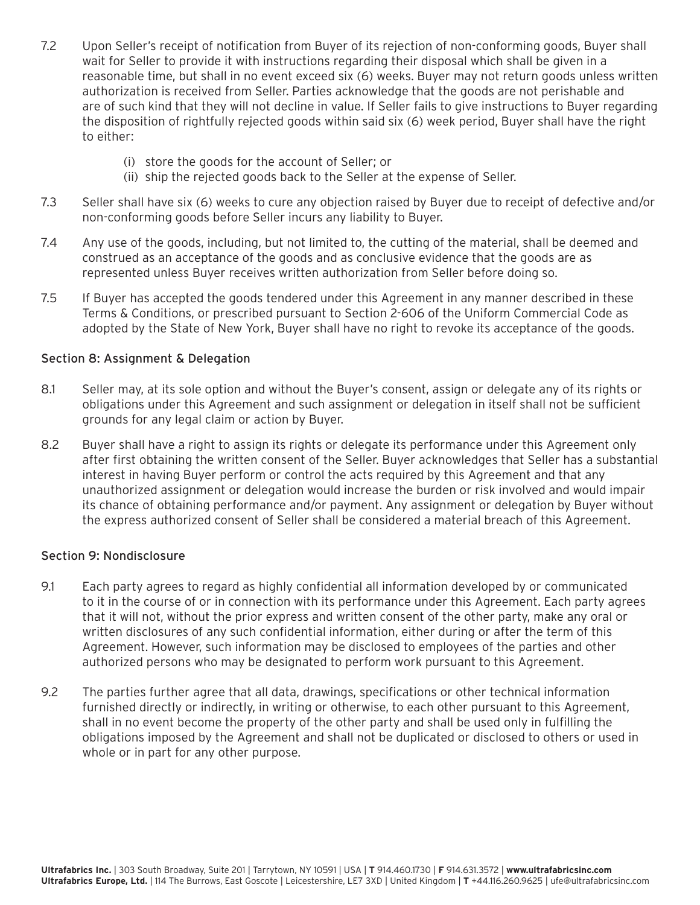- 7.2 Upon Seller's receipt of notification from Buyer of its rejection of non-conforming goods, Buyer shall wait for Seller to provide it with instructions regarding their disposal which shall be given in a reasonable time, but shall in no event exceed six (6) weeks. Buyer may not return goods unless written authorization is received from Seller. Parties acknowledge that the goods are not perishable and are of such kind that they will not decline in value. If Seller fails to give instructions to Buyer regarding the disposition of rightfully rejected goods within said six (6) week period, Buyer shall have the right to either:
	- (i) store the goods for the account of Seller; or
	- (ii) ship the rejected goods back to the Seller at the expense of Seller.
- 7.3 Seller shall have six (6) weeks to cure any objection raised by Buyer due to receipt of defective and/or non-conforming goods before Seller incurs any liability to Buyer.
- 7.4 Any use of the goods, including, but not limited to, the cutting of the material, shall be deemed and construed as an acceptance of the goods and as conclusive evidence that the goods are as represented unless Buyer receives written authorization from Seller before doing so.
- 7.5 If Buyer has accepted the goods tendered under this Agreement in any manner described in these Terms & Conditions, or prescribed pursuant to Section 2-606 of the Uniform Commercial Code as adopted by the State of New York, Buyer shall have no right to revoke its acceptance of the goods.

## Section 8: Assignment & Delegation

- 8.1 Seller may, at its sole option and without the Buyer's consent, assign or delegate any of its rights or obligations under this Agreement and such assignment or delegation in itself shall not be sufficient grounds for any legal claim or action by Buyer.
- 8.2 Buyer shall have a right to assign its rights or delegate its performance under this Agreement only after first obtaining the written consent of the Seller. Buyer acknowledges that Seller has a substantial interest in having Buyer perform or control the acts required by this Agreement and that any unauthorized assignment or delegation would increase the burden or risk involved and would impair its chance of obtaining performance and/or payment. Any assignment or delegation by Buyer without the express authorized consent of Seller shall be considered a material breach of this Agreement.

#### Section 9: Nondisclosure

- 9.1 Each party agrees to regard as highly confidential all information developed by or communicated to it in the course of or in connection with its performance under this Agreement. Each party agrees that it will not, without the prior express and written consent of the other party, make any oral or written disclosures of any such confidential information, either during or after the term of this Agreement. However, such information may be disclosed to employees of the parties and other authorized persons who may be designated to perform work pursuant to this Agreement.
- 9.2 The parties further agree that all data, drawings, specifications or other technical information furnished directly or indirectly, in writing or otherwise, to each other pursuant to this Agreement, shall in no event become the property of the other party and shall be used only in fulfilling the obligations imposed by the Agreement and shall not be duplicated or disclosed to others or used in whole or in part for any other purpose.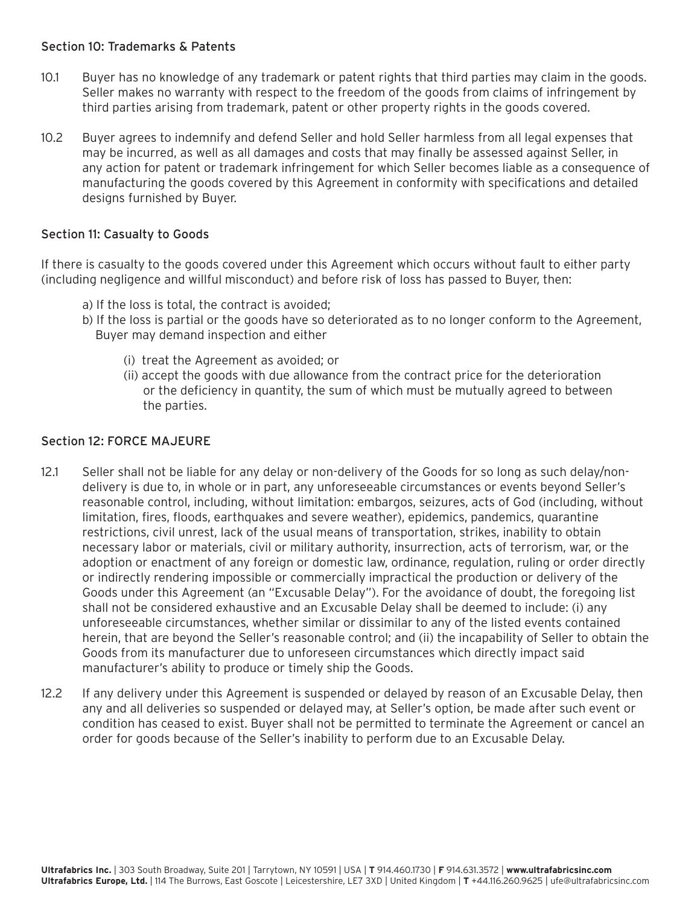### Section 10: Trademarks & Patents

- 10.1 Buyer has no knowledge of any trademark or patent rights that third parties may claim in the goods. Seller makes no warranty with respect to the freedom of the goods from claims of infringement by third parties arising from trademark, patent or other property rights in the goods covered.
- 10.2 Buyer agrees to indemnify and defend Seller and hold Seller harmless from all legal expenses that may be incurred, as well as all damages and costs that may finally be assessed against Seller, in any action for patent or trademark infringement for which Seller becomes liable as a consequence of manufacturing the goods covered by this Agreement in conformity with specifications and detailed designs furnished by Buyer.

### Section 11: Casualty to Goods

If there is casualty to the goods covered under this Agreement which occurs without fault to either party (including negligence and willful misconduct) and before risk of loss has passed to Buyer, then:

- a) If the loss is total, the contract is avoided;
- b) If the loss is partial or the goods have so deteriorated as to no longer conform to the Agreement, Buyer may demand inspection and either
	- (i) treat the Agreement as avoided; or
	- (ii) accept the goods with due allowance from the contract price for the deterioration or the deficiency in quantity, the sum of which must be mutually agreed to between the parties.

#### Section 12: FORCE MAJEURE

- 12.1 Seller shall not be liable for any delay or non-delivery of the Goods for so long as such delay/nondelivery is due to, in whole or in part, any unforeseeable circumstances or events beyond Seller's reasonable control, including, without limitation: embargos, seizures, acts of God (including, without limitation, fires, floods, earthquakes and severe weather), epidemics, pandemics, quarantine restrictions, civil unrest, lack of the usual means of transportation, strikes, inability to obtain necessary labor or materials, civil or military authority, insurrection, acts of terrorism, war, or the adoption or enactment of any foreign or domestic law, ordinance, regulation, ruling or order directly or indirectly rendering impossible or commercially impractical the production or delivery of the Goods under this Agreement (an "Excusable Delay"). For the avoidance of doubt, the foregoing list shall not be considered exhaustive and an Excusable Delay shall be deemed to include: (i) any unforeseeable circumstances, whether similar or dissimilar to any of the listed events contained herein, that are beyond the Seller's reasonable control; and (ii) the incapability of Seller to obtain the Goods from its manufacturer due to unforeseen circumstances which directly impact said manufacturer's ability to produce or timely ship the Goods.
- 12.2 If any delivery under this Agreement is suspended or delayed by reason of an Excusable Delay, then any and all deliveries so suspended or delayed may, at Seller's option, be made after such event or condition has ceased to exist. Buyer shall not be permitted to terminate the Agreement or cancel an order for goods because of the Seller's inability to perform due to an Excusable Delay.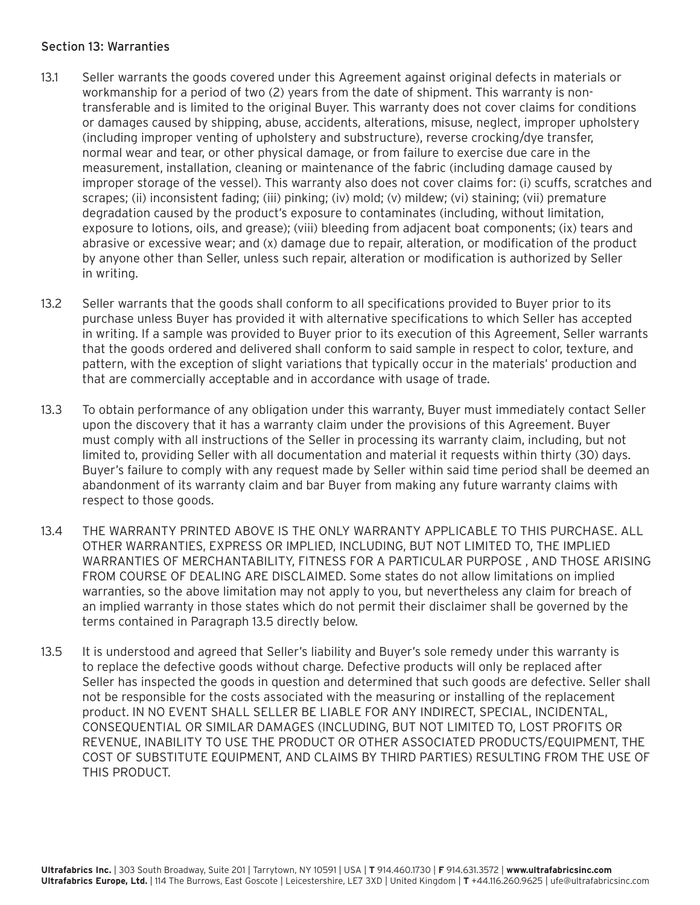## Section 13: Warranties

- 13.1 Seller warrants the goods covered under this Agreement against original defects in materials or workmanship for a period of two (2) years from the date of shipment. This warranty is nontransferable and is limited to the original Buyer. This warranty does not cover claims for conditions or damages caused by shipping, abuse, accidents, alterations, misuse, neglect, improper upholstery (including improper venting of upholstery and substructure), reverse crocking/dye transfer, normal wear and tear, or other physical damage, or from failure to exercise due care in the measurement, installation, cleaning or maintenance of the fabric (including damage caused by improper storage of the vessel). This warranty also does not cover claims for: (i) scuffs, scratches and scrapes; (ii) inconsistent fading; (iii) pinking; (iv) mold; (v) mildew; (vi) staining; (vii) premature degradation caused by the product's exposure to contaminates (including, without limitation, exposure to lotions, oils, and grease); (viii) bleeding from adjacent boat components; (ix) tears and abrasive or excessive wear; and (x) damage due to repair, alteration, or modification of the product by anyone other than Seller, unless such repair, alteration or modification is authorized by Seller in writing.
- 13.2 Seller warrants that the goods shall conform to all specifications provided to Buyer prior to its purchase unless Buyer has provided it with alternative specifications to which Seller has accepted in writing. If a sample was provided to Buyer prior to its execution of this Agreement, Seller warrants that the goods ordered and delivered shall conform to said sample in respect to color, texture, and pattern, with the exception of slight variations that typically occur in the materials' production and that are commercially acceptable and in accordance with usage of trade.
- 13.3 To obtain performance of any obligation under this warranty, Buyer must immediately contact Seller upon the discovery that it has a warranty claim under the provisions of this Agreement. Buyer must comply with all instructions of the Seller in processing its warranty claim, including, but not limited to, providing Seller with all documentation and material it requests within thirty (30) days. Buyer's failure to comply with any request made by Seller within said time period shall be deemed an abandonment of its warranty claim and bar Buyer from making any future warranty claims with respect to those goods.
- 13.4 THE WARRANTY PRINTED ABOVE IS THE ONLY WARRANTY APPLICABLE TO THIS PURCHASE. ALL OTHER WARRANTIES, EXPRESS OR IMPLIED, INCLUDING, BUT NOT LIMITED TO, THE IMPLIED WARRANTIES OF MERCHANTABILITY, FITNESS FOR A PARTICULAR PURPOSE , AND THOSE ARISING FROM COURSE OF DEALING ARE DISCLAIMED. Some states do not allow limitations on implied warranties, so the above limitation may not apply to you, but nevertheless any claim for breach of an implied warranty in those states which do not permit their disclaimer shall be governed by the terms contained in Paragraph 13.5 directly below.
- 13.5 It is understood and agreed that Seller's liability and Buyer's sole remedy under this warranty is to replace the defective goods without charge. Defective products will only be replaced after Seller has inspected the goods in question and determined that such goods are defective. Seller shall not be responsible for the costs associated with the measuring or installing of the replacement product. IN NO EVENT SHALL SELLER BE LIABLE FOR ANY INDIRECT, SPECIAL, INCIDENTAL, CONSEQUENTIAL OR SIMILAR DAMAGES (INCLUDING, BUT NOT LIMITED TO, LOST PROFITS OR REVENUE, INABILITY TO USE THE PRODUCT OR OTHER ASSOCIATED PRODUCTS/EQUIPMENT, THE COST OF SUBSTITUTE EQUIPMENT, AND CLAIMS BY THIRD PARTIES) RESULTING FROM THE USE OF THIS PRODUCT.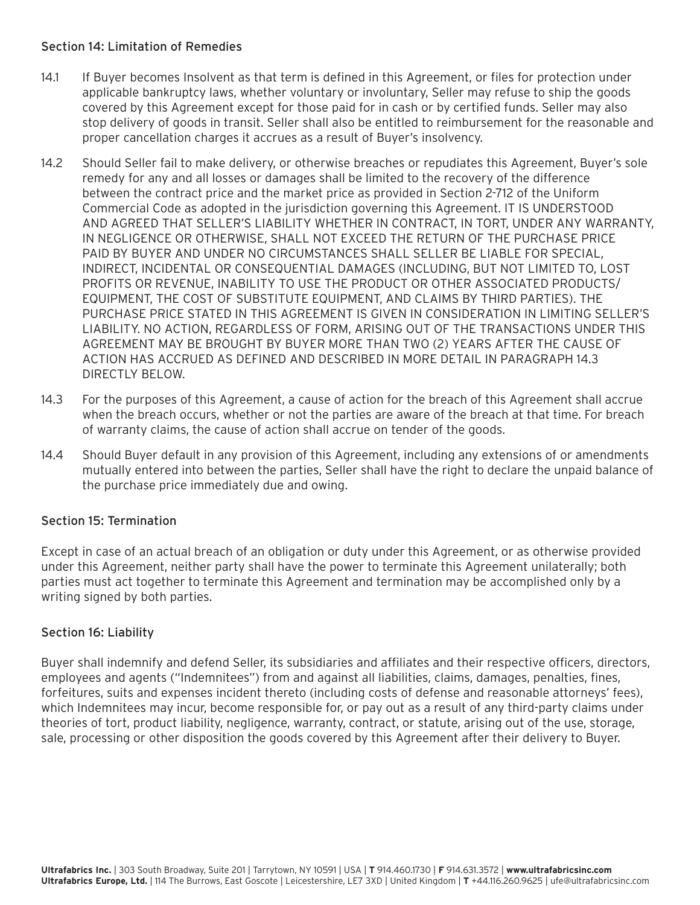## Section 14: Limitation of Remedies

- 14.1 If Buyer becomes Insolvent as that term is defined in this Agreement, or files for protection under applicable bankruptcy laws, whether voluntary or involuntary, Seller may refuse to ship the goods covered by this Agreement except for those paid for in cash or by certified funds. Seller may also stop delivery of goods in transit. Seller shall also be entitled to reimbursement for the reasonable and proper cancellation charges it accrues as a result of Buyer's insolvency.
- 14.2 Should Seller fail to make delivery, or otherwise breaches or repudiates this Agreement, Buyer's sole remedy for any and all losses or damages shall be limited to the recovery of the difference between the contract price and the market price as provided in Section 2-712 of the Uniform Commercial Code as adopted in the jurisdiction governing this Agreement. IT IS UNDERSTOOD AND AGREED THAT SELLER'S LIABILITY WHETHER IN CONTRACT, IN TORT, UNDER ANY WARRANTY, IN NEGLIGENCE OR OTHERWISE, SHALL NOT EXCEED THE RETURN OF THE PURCHASE PRICE PAID BY BUYER AND UNDER NO CIRCUMSTANCES SHALL SELLER BE LIABLE FOR SPECIAL, INDIRECT, INCIDENTAL OR CONSEQUENTIAL DAMAGES (INCLUDING, BUT NOT LIMITED TO, LOST PROFITS OR REVENUE, INABILITY TO USE THE PRODUCT OR OTHER ASSOCIATED PRODUCTS/ EQUIPMENT, THE COST OF SUBSTITUTE EQUIPMENT, AND CLAIMS BY THIRD PARTIES). THE PURCHASE PRICE STATED IN THIS AGREEMENT IS GIVEN IN CONSIDERATION IN LIMITING SELLER'S LIABILITY. NO ACTION, REGARDLESS OF FORM, ARISING OUT OF THE TRANSACTIONS UNDER THIS AGREEMENT MAY BE BROUGHT BY BUYER MORE THAN TWO (2) YEARS AFTER THE CAUSE OF ACTION HAS ACCRUED AS DEFINED AND DESCRIBED IN MORE DETAIL IN PARAGRAPH 14.3 DIRECTLY BELOW.
- 14.3 For the purposes of this Agreement, a cause of action for the breach of this Agreement shall accrue when the breach occurs, whether or not the parties are aware of the breach at that time. For breach of warranty claims, the cause of action shall accrue on tender of the goods.
- 14.4 Should Buyer default in any provision of this Agreement, including any extensions of or amendments mutually entered into between the parties, Seller shall have the right to declare the unpaid balance of the purchase price immediately due and owing.

# Section 15: Termination

Except in case of an actual breach of an obligation or duty under this Agreement, or as otherwise provided under this Agreement, neither party shall have the power to terminate this Agreement unilaterally; both parties must act together to terminate this Agreement and termination may be accomplished only by a writing signed by both parties.

# Section 16: Liability

Buyer shall indemnify and defend Seller, its subsidiaries and affiliates and their respective officers, directors, employees and agents ("Indemnitees") from and against all liabilities, claims, damages, penalties, fines, forfeitures, suits and expenses incident thereto (including costs of defense and reasonable attorneys' fees), which Indemnitees may incur, become responsible for, or pay out as a result of any third-party claims under theories of tort, product liability, negligence, warranty, contract, or statute, arising out of the use, storage, sale, processing or other disposition the goods covered by this Agreement after their delivery to Buyer.